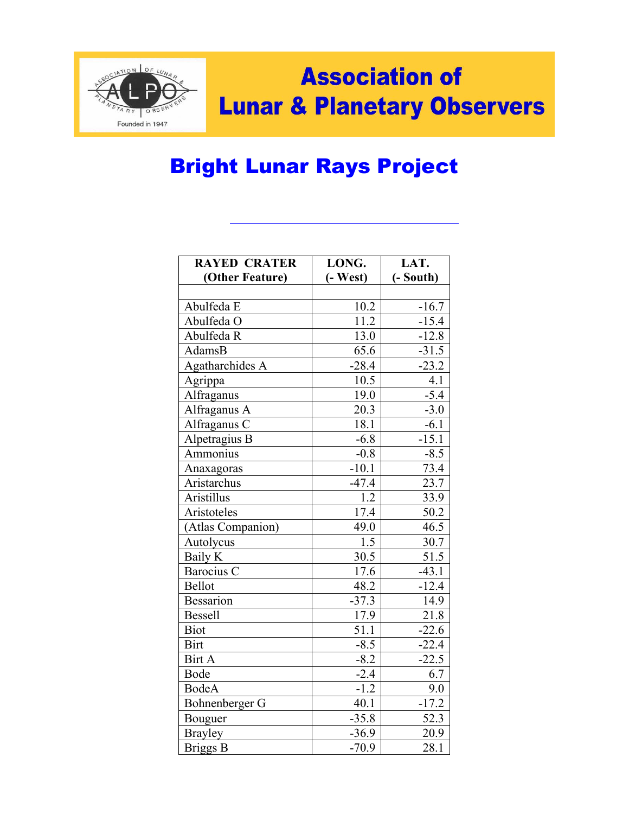

## **Association of Lunar & Planetary Observers**

## Bright Lunar Rays Project

| <b>RAYED CRATER</b> | LONG.             | LAT.      |
|---------------------|-------------------|-----------|
| (Other Feature)     | $(-West)$         | (- South) |
|                     |                   |           |
| Abulfeda E          | 10.2              | $-16.7$   |
| Abulfeda O          | $\overline{11.2}$ | $-15.4$   |
| Abulfeda R          | 13.0              | $-12.8$   |
| AdamsB              | 65.6              | $-31.5$   |
| Agatharchides A     | $-28.4$           | $-23.2$   |
| Agrippa             | 10.5              | 4.1       |
| Alfraganus          | 19.0              | $-5.4$    |
| Alfraganus A        | 20.3              | $-3.0$    |
| Alfraganus C        | 18.1              | $-6.1$    |
| Alpetragius B       | $-6.8$            | $-15.1$   |
| Ammonius            | $-0.8$            | $-8.5$    |
| Anaxagoras          | $-10.1$           | 73.4      |
| Aristarchus         | $-47.4$           | 23.7      |
| Aristillus          | 1.2               | 33.9      |
| Aristoteles         | 17.4              | 50.2      |
| (Atlas Companion)   | 49.0              | 46.5      |
| Autolycus           | 1.5               | 30.7      |
| <b>Baily K</b>      | 30.5              | 51.5      |
| Barocius C          | 17.6              | $-43.1$   |
| <b>Bellot</b>       | 48.2              | $-12.4$   |
| <b>Bessarion</b>    | $-37.3$           | 14.9      |
| Bessell             | 17.9              | 21.8      |
| <b>Biot</b>         | 51.1              | $-22.6$   |
| <b>Birt</b>         | $-8.5$            | $-22.4$   |
| Birt A              | $-8.2$            | $-22.5$   |
| <b>Bode</b>         | $-2.4$            | 6.7       |
| <b>BodeA</b>        | $-1.2$            | 9.0       |
| Bohnenberger G      | 40.1              | $-17.2$   |
| Bouguer             | $-35.8$           | 52.3      |
| <b>Brayley</b>      | $-36.9$           | 20.9      |
| <b>Briggs B</b>     | $-70.9$           | 28.1      |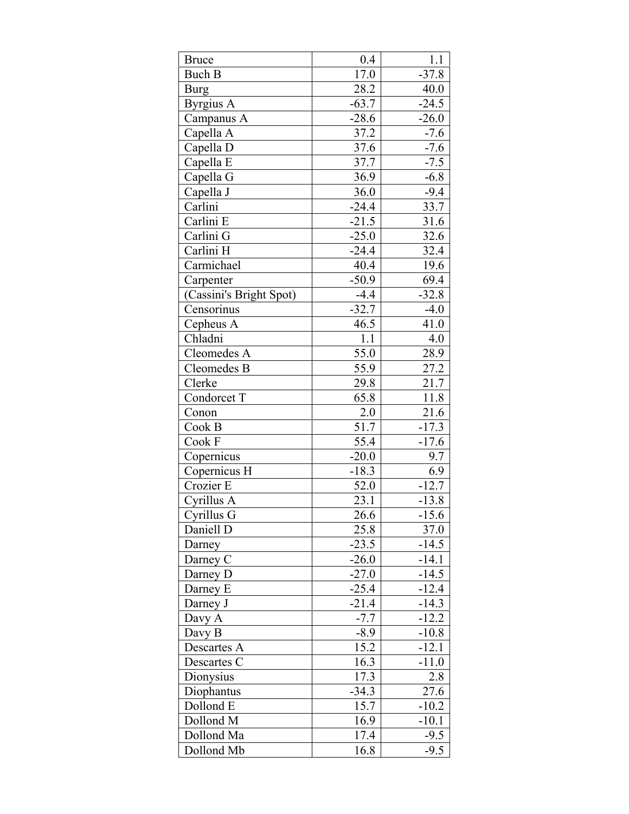| <b>Bruce</b>            | 0.4     | 1.1     |
|-------------------------|---------|---------|
| <b>Buch B</b>           | 17.0    | $-37.8$ |
| <b>Burg</b>             | 28.2    | 40.0    |
| Byrgius A               | $-63.7$ | $-24.5$ |
| Campanus A              | $-28.6$ | $-26.0$ |
| Capella A               | 37.2    | $-7.6$  |
| Capella D               | 37.6    | $-7.6$  |
| Capella E               | 37.7    | $-7.5$  |
| Capella G               | 36.9    | $-6.8$  |
| Capella J               | 36.0    | $-9.4$  |
| Carlini                 | $-24.4$ | 33.7    |
| Carlini E               | $-21.5$ | 31.6    |
| Carlini G               | $-25.0$ | 32.6    |
| Carlini H               | $-24.4$ | 32.4    |
| Carmichael              | 40.4    | 19.6    |
| Carpenter               | $-50.9$ | 69.4    |
| (Cassini's Bright Spot) | $-4.4$  | $-32.8$ |
| Censorinus              | $-32.7$ | $-4.0$  |
| Cepheus A               | 46.5    | 41.0    |
| Chladni                 | 1.1     | 4.0     |
| Cleomedes A             | 55.0    | 28.9    |
| Cleomedes B             | 55.9    | 27.2    |
| Clerke                  | 29.8    | 21.7    |
| Condorcet T             | 65.8    | 11.8    |
| Conon                   | 2.0     | 21.6    |
| Cook B                  | 51.7    | $-17.3$ |
| Cook F                  | 55.4    | $-17.6$ |
| Copernicus              | $-20.0$ | 9.7     |
| Copernicus H            | $-18.3$ | 6.9     |
| Crozier E               | 52.0    | $-12.7$ |
| Cyrillus A              | 23.1    | $-13.8$ |
| Cyrillus G              | 26.6    | $-15.6$ |
| Daniell D               | 25.8    | 37.0    |
| Darney                  | $-23.5$ | $-14.5$ |
| Darney C                | $-26.0$ | $-14.1$ |
| Darney D                | $-27.0$ | $-14.5$ |
| Darney E                | $-25.4$ | $-12.4$ |
| Darney J                | $-21.4$ | $-14.3$ |
| Davy A                  | $-7.7$  | $-12.2$ |
| Davy B                  | $-8.9$  | $-10.8$ |
| Descartes A             | 15.2    | $-12.1$ |
| Descartes C             | 16.3    | $-11.0$ |
| Dionysius               | 17.3    | 2.8     |
| Diophantus              | $-34.3$ | 27.6    |
| Dollond E               | 15.7    | $-10.2$ |
| Dollond M               | 16.9    | $-10.1$ |
| Dollond Ma              | 17.4    | $-9.5$  |
| Dollond Mb              | 16.8    | $-9.5$  |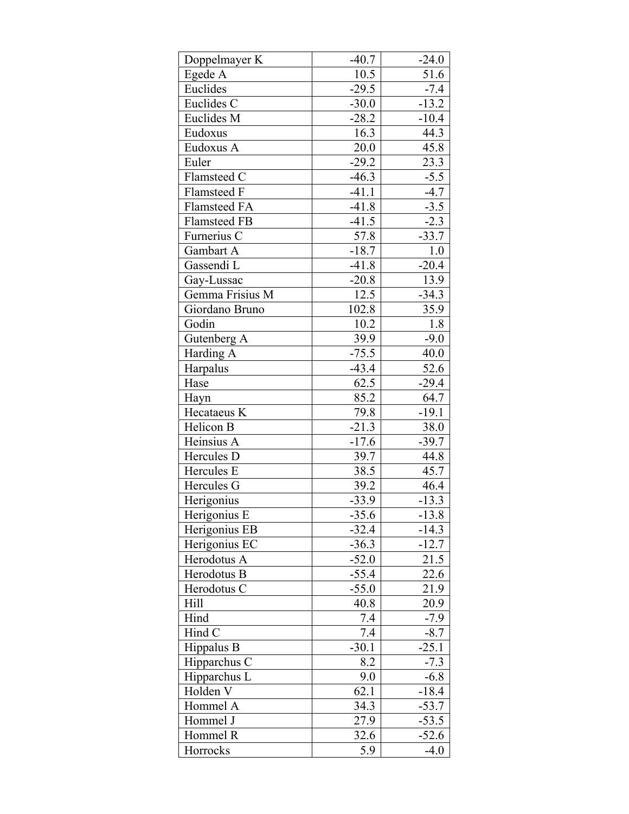| 10.5<br>51.6<br>Egede A<br>Euclides<br>$-29.5$<br>$-7.4$<br>Euclides C<br>$-30.0$<br>$-13.2$<br>Euclides M<br>$-28.2$<br>$-10.4$<br>Eudoxus<br>44.3<br>16.3<br>$20.0\,$<br>45.8<br>Eudoxus A<br>$-29.2$<br>23.3<br>Euler<br>$-5.5$<br>Flamsteed C<br>$-46.3$<br>$-41.1$<br>$-4.7$<br>Flamsteed F<br>$-41.8$<br>Flamsteed FA<br>$-3.5$<br>$-2.3$<br>$-41.5$<br><b>Flamsteed FB</b><br>57.8<br>$-33.7$<br>Furnerius C<br>Gambart A<br>$-18.7$<br>1.0<br>Gassendi L<br>$-41.8$<br>$-20.4$<br>13.9<br>Gay-Lussac<br>$-20.8$<br>Gemma Frisius M<br>12.5<br>$-34.3$<br>102.8<br>35.9<br>Giordano Bruno<br>Godin<br>10.2<br>1.8<br>Gutenberg A<br>39.9<br>$-9.0$<br>40.0<br>$-75.5$<br>Harding A<br>52.6<br>Harpalus<br>$-43.4$<br>62.5<br>$-29.4$<br>Hase<br>Hayn<br>85.2<br>64.7<br>79.8<br>$-19.1$<br>Hecataeus K<br>$-21.3$<br>38.0<br>Helicon B<br>$-17.6$<br>Heinsius A<br>$-39.7$<br>Hercules D<br>39.7<br>44.8<br>45.7<br>Hercules E<br>38.5<br>Hercules G<br>39.2<br>46.4<br>Herigonius<br>$-13.3$<br>$-33.9$<br>Herigonius E<br>$-13.8$<br>$-35.6$<br>Herigonius EB<br>$-32.4$<br>$-14.3$<br>Herigonius EC<br>$-36.3$<br>$-12.7$<br>Herodotus A<br>$-52.0$<br>21.5<br>Herodotus B<br>$-55.4$<br>22.6<br>Herodotus C<br>$-55.0$<br>21.9<br>Hill<br>40.8<br>20.9<br>Hind<br>7.4<br>$-7.9$<br>Hind C<br>7.4<br>$-8.7$<br>Hippalus B<br>$-25.1$<br>$-30.1$<br>8.2<br>$-7.3$<br>Hipparchus C<br>Hipparchus L<br>9.0<br>$-6.8$<br>62.1<br>$-18.4$<br>Holden V<br>Hommel A<br>$-53.7$<br>34.3<br>27.9<br>Hommel J<br>$-53.5$<br>Hommel R<br>32.6<br>$-52.6$ | Doppelmayer K | $-40.7$ | $-24.0$ |
|---------------------------------------------------------------------------------------------------------------------------------------------------------------------------------------------------------------------------------------------------------------------------------------------------------------------------------------------------------------------------------------------------------------------------------------------------------------------------------------------------------------------------------------------------------------------------------------------------------------------------------------------------------------------------------------------------------------------------------------------------------------------------------------------------------------------------------------------------------------------------------------------------------------------------------------------------------------------------------------------------------------------------------------------------------------------------------------------------------------------------------------------------------------------------------------------------------------------------------------------------------------------------------------------------------------------------------------------------------------------------------------------------------------------------------------------------------------------------------------------------------------------------------------------------------|---------------|---------|---------|
|                                                                                                                                                                                                                                                                                                                                                                                                                                                                                                                                                                                                                                                                                                                                                                                                                                                                                                                                                                                                                                                                                                                                                                                                                                                                                                                                                                                                                                                                                                                                                         |               |         |         |
|                                                                                                                                                                                                                                                                                                                                                                                                                                                                                                                                                                                                                                                                                                                                                                                                                                                                                                                                                                                                                                                                                                                                                                                                                                                                                                                                                                                                                                                                                                                                                         |               |         |         |
|                                                                                                                                                                                                                                                                                                                                                                                                                                                                                                                                                                                                                                                                                                                                                                                                                                                                                                                                                                                                                                                                                                                                                                                                                                                                                                                                                                                                                                                                                                                                                         |               |         |         |
|                                                                                                                                                                                                                                                                                                                                                                                                                                                                                                                                                                                                                                                                                                                                                                                                                                                                                                                                                                                                                                                                                                                                                                                                                                                                                                                                                                                                                                                                                                                                                         |               |         |         |
|                                                                                                                                                                                                                                                                                                                                                                                                                                                                                                                                                                                                                                                                                                                                                                                                                                                                                                                                                                                                                                                                                                                                                                                                                                                                                                                                                                                                                                                                                                                                                         |               |         |         |
|                                                                                                                                                                                                                                                                                                                                                                                                                                                                                                                                                                                                                                                                                                                                                                                                                                                                                                                                                                                                                                                                                                                                                                                                                                                                                                                                                                                                                                                                                                                                                         |               |         |         |
|                                                                                                                                                                                                                                                                                                                                                                                                                                                                                                                                                                                                                                                                                                                                                                                                                                                                                                                                                                                                                                                                                                                                                                                                                                                                                                                                                                                                                                                                                                                                                         |               |         |         |
|                                                                                                                                                                                                                                                                                                                                                                                                                                                                                                                                                                                                                                                                                                                                                                                                                                                                                                                                                                                                                                                                                                                                                                                                                                                                                                                                                                                                                                                                                                                                                         |               |         |         |
|                                                                                                                                                                                                                                                                                                                                                                                                                                                                                                                                                                                                                                                                                                                                                                                                                                                                                                                                                                                                                                                                                                                                                                                                                                                                                                                                                                                                                                                                                                                                                         |               |         |         |
|                                                                                                                                                                                                                                                                                                                                                                                                                                                                                                                                                                                                                                                                                                                                                                                                                                                                                                                                                                                                                                                                                                                                                                                                                                                                                                                                                                                                                                                                                                                                                         |               |         |         |
|                                                                                                                                                                                                                                                                                                                                                                                                                                                                                                                                                                                                                                                                                                                                                                                                                                                                                                                                                                                                                                                                                                                                                                                                                                                                                                                                                                                                                                                                                                                                                         |               |         |         |
|                                                                                                                                                                                                                                                                                                                                                                                                                                                                                                                                                                                                                                                                                                                                                                                                                                                                                                                                                                                                                                                                                                                                                                                                                                                                                                                                                                                                                                                                                                                                                         |               |         |         |
|                                                                                                                                                                                                                                                                                                                                                                                                                                                                                                                                                                                                                                                                                                                                                                                                                                                                                                                                                                                                                                                                                                                                                                                                                                                                                                                                                                                                                                                                                                                                                         |               |         |         |
|                                                                                                                                                                                                                                                                                                                                                                                                                                                                                                                                                                                                                                                                                                                                                                                                                                                                                                                                                                                                                                                                                                                                                                                                                                                                                                                                                                                                                                                                                                                                                         |               |         |         |
|                                                                                                                                                                                                                                                                                                                                                                                                                                                                                                                                                                                                                                                                                                                                                                                                                                                                                                                                                                                                                                                                                                                                                                                                                                                                                                                                                                                                                                                                                                                                                         |               |         |         |
|                                                                                                                                                                                                                                                                                                                                                                                                                                                                                                                                                                                                                                                                                                                                                                                                                                                                                                                                                                                                                                                                                                                                                                                                                                                                                                                                                                                                                                                                                                                                                         |               |         |         |
|                                                                                                                                                                                                                                                                                                                                                                                                                                                                                                                                                                                                                                                                                                                                                                                                                                                                                                                                                                                                                                                                                                                                                                                                                                                                                                                                                                                                                                                                                                                                                         |               |         |         |
|                                                                                                                                                                                                                                                                                                                                                                                                                                                                                                                                                                                                                                                                                                                                                                                                                                                                                                                                                                                                                                                                                                                                                                                                                                                                                                                                                                                                                                                                                                                                                         |               |         |         |
|                                                                                                                                                                                                                                                                                                                                                                                                                                                                                                                                                                                                                                                                                                                                                                                                                                                                                                                                                                                                                                                                                                                                                                                                                                                                                                                                                                                                                                                                                                                                                         |               |         |         |
|                                                                                                                                                                                                                                                                                                                                                                                                                                                                                                                                                                                                                                                                                                                                                                                                                                                                                                                                                                                                                                                                                                                                                                                                                                                                                                                                                                                                                                                                                                                                                         |               |         |         |
|                                                                                                                                                                                                                                                                                                                                                                                                                                                                                                                                                                                                                                                                                                                                                                                                                                                                                                                                                                                                                                                                                                                                                                                                                                                                                                                                                                                                                                                                                                                                                         |               |         |         |
|                                                                                                                                                                                                                                                                                                                                                                                                                                                                                                                                                                                                                                                                                                                                                                                                                                                                                                                                                                                                                                                                                                                                                                                                                                                                                                                                                                                                                                                                                                                                                         |               |         |         |
|                                                                                                                                                                                                                                                                                                                                                                                                                                                                                                                                                                                                                                                                                                                                                                                                                                                                                                                                                                                                                                                                                                                                                                                                                                                                                                                                                                                                                                                                                                                                                         |               |         |         |
|                                                                                                                                                                                                                                                                                                                                                                                                                                                                                                                                                                                                                                                                                                                                                                                                                                                                                                                                                                                                                                                                                                                                                                                                                                                                                                                                                                                                                                                                                                                                                         |               |         |         |
|                                                                                                                                                                                                                                                                                                                                                                                                                                                                                                                                                                                                                                                                                                                                                                                                                                                                                                                                                                                                                                                                                                                                                                                                                                                                                                                                                                                                                                                                                                                                                         |               |         |         |
|                                                                                                                                                                                                                                                                                                                                                                                                                                                                                                                                                                                                                                                                                                                                                                                                                                                                                                                                                                                                                                                                                                                                                                                                                                                                                                                                                                                                                                                                                                                                                         |               |         |         |
|                                                                                                                                                                                                                                                                                                                                                                                                                                                                                                                                                                                                                                                                                                                                                                                                                                                                                                                                                                                                                                                                                                                                                                                                                                                                                                                                                                                                                                                                                                                                                         |               |         |         |
|                                                                                                                                                                                                                                                                                                                                                                                                                                                                                                                                                                                                                                                                                                                                                                                                                                                                                                                                                                                                                                                                                                                                                                                                                                                                                                                                                                                                                                                                                                                                                         |               |         |         |
|                                                                                                                                                                                                                                                                                                                                                                                                                                                                                                                                                                                                                                                                                                                                                                                                                                                                                                                                                                                                                                                                                                                                                                                                                                                                                                                                                                                                                                                                                                                                                         |               |         |         |
|                                                                                                                                                                                                                                                                                                                                                                                                                                                                                                                                                                                                                                                                                                                                                                                                                                                                                                                                                                                                                                                                                                                                                                                                                                                                                                                                                                                                                                                                                                                                                         |               |         |         |
|                                                                                                                                                                                                                                                                                                                                                                                                                                                                                                                                                                                                                                                                                                                                                                                                                                                                                                                                                                                                                                                                                                                                                                                                                                                                                                                                                                                                                                                                                                                                                         |               |         |         |
|                                                                                                                                                                                                                                                                                                                                                                                                                                                                                                                                                                                                                                                                                                                                                                                                                                                                                                                                                                                                                                                                                                                                                                                                                                                                                                                                                                                                                                                                                                                                                         |               |         |         |
|                                                                                                                                                                                                                                                                                                                                                                                                                                                                                                                                                                                                                                                                                                                                                                                                                                                                                                                                                                                                                                                                                                                                                                                                                                                                                                                                                                                                                                                                                                                                                         |               |         |         |
|                                                                                                                                                                                                                                                                                                                                                                                                                                                                                                                                                                                                                                                                                                                                                                                                                                                                                                                                                                                                                                                                                                                                                                                                                                                                                                                                                                                                                                                                                                                                                         |               |         |         |
|                                                                                                                                                                                                                                                                                                                                                                                                                                                                                                                                                                                                                                                                                                                                                                                                                                                                                                                                                                                                                                                                                                                                                                                                                                                                                                                                                                                                                                                                                                                                                         |               |         |         |
|                                                                                                                                                                                                                                                                                                                                                                                                                                                                                                                                                                                                                                                                                                                                                                                                                                                                                                                                                                                                                                                                                                                                                                                                                                                                                                                                                                                                                                                                                                                                                         |               |         |         |
|                                                                                                                                                                                                                                                                                                                                                                                                                                                                                                                                                                                                                                                                                                                                                                                                                                                                                                                                                                                                                                                                                                                                                                                                                                                                                                                                                                                                                                                                                                                                                         |               |         |         |
|                                                                                                                                                                                                                                                                                                                                                                                                                                                                                                                                                                                                                                                                                                                                                                                                                                                                                                                                                                                                                                                                                                                                                                                                                                                                                                                                                                                                                                                                                                                                                         |               |         |         |
|                                                                                                                                                                                                                                                                                                                                                                                                                                                                                                                                                                                                                                                                                                                                                                                                                                                                                                                                                                                                                                                                                                                                                                                                                                                                                                                                                                                                                                                                                                                                                         |               |         |         |
|                                                                                                                                                                                                                                                                                                                                                                                                                                                                                                                                                                                                                                                                                                                                                                                                                                                                                                                                                                                                                                                                                                                                                                                                                                                                                                                                                                                                                                                                                                                                                         |               |         |         |
|                                                                                                                                                                                                                                                                                                                                                                                                                                                                                                                                                                                                                                                                                                                                                                                                                                                                                                                                                                                                                                                                                                                                                                                                                                                                                                                                                                                                                                                                                                                                                         |               |         |         |
|                                                                                                                                                                                                                                                                                                                                                                                                                                                                                                                                                                                                                                                                                                                                                                                                                                                                                                                                                                                                                                                                                                                                                                                                                                                                                                                                                                                                                                                                                                                                                         |               |         |         |
|                                                                                                                                                                                                                                                                                                                                                                                                                                                                                                                                                                                                                                                                                                                                                                                                                                                                                                                                                                                                                                                                                                                                                                                                                                                                                                                                                                                                                                                                                                                                                         |               |         |         |
|                                                                                                                                                                                                                                                                                                                                                                                                                                                                                                                                                                                                                                                                                                                                                                                                                                                                                                                                                                                                                                                                                                                                                                                                                                                                                                                                                                                                                                                                                                                                                         |               |         |         |
|                                                                                                                                                                                                                                                                                                                                                                                                                                                                                                                                                                                                                                                                                                                                                                                                                                                                                                                                                                                                                                                                                                                                                                                                                                                                                                                                                                                                                                                                                                                                                         |               |         |         |
|                                                                                                                                                                                                                                                                                                                                                                                                                                                                                                                                                                                                                                                                                                                                                                                                                                                                                                                                                                                                                                                                                                                                                                                                                                                                                                                                                                                                                                                                                                                                                         |               |         |         |
|                                                                                                                                                                                                                                                                                                                                                                                                                                                                                                                                                                                                                                                                                                                                                                                                                                                                                                                                                                                                                                                                                                                                                                                                                                                                                                                                                                                                                                                                                                                                                         | Horrocks      | 5.9     | $-4.0$  |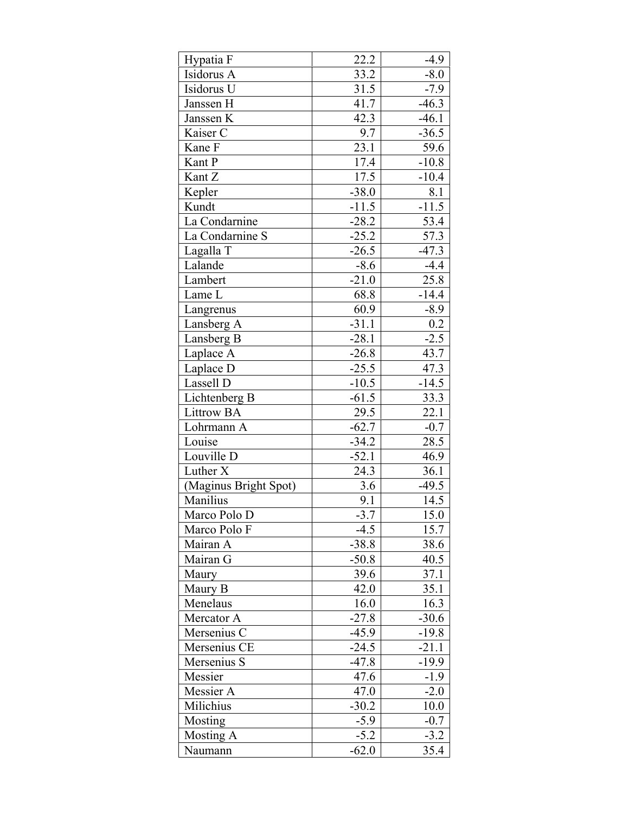| Hypatia F             | 22.2              | $-4.9$  |
|-----------------------|-------------------|---------|
| Isidorus A            | 33.2              | $-8.0$  |
| Isidorus U            | 31.5              | $-7.9$  |
| Janssen H             | 41.7              | $-46.3$ |
| Janssen K             | 42.3              | $-46.1$ |
| Kaiser C              | 9.7               | $-36.5$ |
| Kane F                | $\overline{23.1}$ | 59.6    |
| Kant P                | 17.4              | $-10.8$ |
| Kant Z                | 17.5              | $-10.4$ |
| Kepler                | $-38.0$           | 8.1     |
| Kundt                 | $-11.5$           | $-11.5$ |
| La Condarnine         | $-28.2$           | 53.4    |
| La Condarnine S       | $-25.2$           | 57.3    |
| Lagalla T             | $-26.5$           | $-47.3$ |
| Lalande               | $-8.6$            | $-4.4$  |
| Lambert               | $-21.0$           | 25.8    |
| Lame L                | 68.8              | $-14.4$ |
| Langrenus             | 60.9              | $-8.9$  |
| Lansberg A            | $-31.1$           | 0.2     |
| Lansberg B            | $-28.1$           | $-2.5$  |
| Laplace A             | $-26.8$           | 43.7    |
| Laplace D             | $-25.5$           | 47.3    |
| Lassell D             | $-10.5$           | $-14.5$ |
| Lichtenberg B         | $-61.5$           | 33.3    |
| <b>Littrow BA</b>     | 29.5              | 22.1    |
| Lohrmann A            | $-62.7$           | $-0.7$  |
| Louise                | $-34.2$           | 28.5    |
| Louville D            | $-52.1$           | 46.9    |
| Luther X              | 24.3              | 36.1    |
| (Maginus Bright Spot) | 3.6               | $-49.5$ |
| Manilius              | 9.1               | 14.5    |
| Marco Polo D          | $-3.7$            | 15.0    |
| Marco Polo F          | $-4.5$            | 15.7    |
| Mairan A              | $-38.8$           | 38.6    |
| Mairan G              | $-50.8$           | 40.5    |
| Maury                 | 39.6              | 37.1    |
| Maury B               | 42.0              | 35.1    |
| Menelaus              | 16.0              | 16.3    |
| Mercator A            | $-27.8$           | $-30.6$ |
| Mersenius C           | $-45.9$           | $-19.8$ |
| Mersenius CE          | $-24.5$           | $-21.1$ |
| Mersenius S           | $-47.8$           | $-19.9$ |
| Messier               | 47.6              | $-1.9$  |
| Messier A             | 47.0              | $-2.0$  |
| Milichius             | $-30.2$           | 10.0    |
| Mosting               | $-5.9$            | $-0.7$  |
| <b>Mosting A</b>      | $-5.2$            | $-3.2$  |
| Naumann               | $-62.0$           | 35.4    |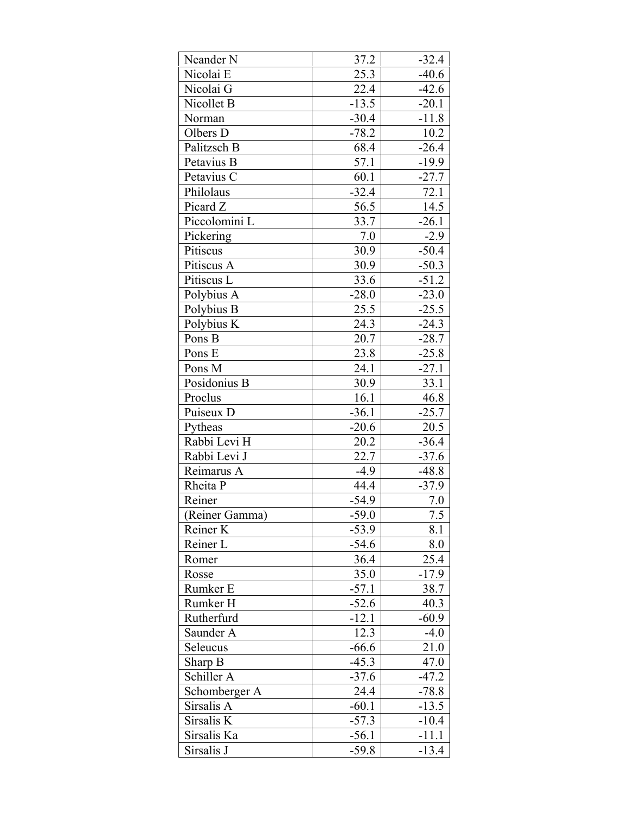| Neander <sub>N</sub> | 37.2    | $-32.4$ |
|----------------------|---------|---------|
| Nicolai E            | 25.3    | $-40.6$ |
| Nicolai G            | 22.4    | $-42.6$ |
| Nicollet B           | $-13.5$ | $-20.1$ |
| Norman               | $-30.4$ | $-11.8$ |
| Olbers D             | $-78.2$ | 10.2    |
| Palitzsch B          | 68.4    | $-26.4$ |
| Petavius B           | 57.1    | $-19.9$ |
| Petavius C           | 60.1    | $-27.7$ |
| Philolaus            | $-32.4$ | 72.1    |
| Picard Z             | 56.5    | 14.5    |
| Piccolomini L        | 33.7    | $-26.1$ |
| Pickering            | $7.0\,$ | $-2.9$  |
| Pitiscus             | 30.9    | $-50.4$ |
| Pitiscus A           | 30.9    | $-50.3$ |
| Pitiscus L           | 33.6    | $-51.2$ |
| Polybius A           | $-28.0$ | $-23.0$ |
| Polybius B           | 25.5    | $-25.5$ |
| Polybius K           | 24.3    | $-24.3$ |
| Pons B               | 20.7    | $-28.7$ |
| Pons E               | 23.8    | $-25.8$ |
| Pons M               | 24.1    | $-27.1$ |
| Posidonius B         | 30.9    | 33.1    |
| Proclus              | 16.1    | 46.8    |
| Puiseux D            | $-36.1$ | $-25.7$ |
| Pytheas              | $-20.6$ | 20.5    |
| Rabbi Levi H         | 20.2    | $-36.4$ |
| Rabbi Levi J         | 22.7    | $-37.6$ |
| Reimarus A           | $-4.9$  | $-48.8$ |
| Rheita P             | 44.4    | $-37.9$ |
| Reiner               | $-54.9$ | 7.0     |
| (Reiner Gamma)       | $-59.0$ | 7.5     |
| Reiner K             | $-53.9$ | 8.1     |
| Reiner L             | $-54.6$ | 8.0     |
| Romer                | 36.4    | 25.4    |
| Rosse                | 35.0    | $-17.9$ |
| Rumker E             | $-57.1$ | 38.7    |
| Rumker H             | $-52.6$ | 40.3    |
| Rutherfurd           | $-12.1$ | $-60.9$ |
| Saunder A            | 12.3    | $-4.0$  |
| Seleucus             | $-66.6$ | 21.0    |
| Sharp B              | $-45.3$ | 47.0    |
| Schiller A           | $-37.6$ | $-47.2$ |
| Schomberger A        | 24.4    | $-78.8$ |
| Sirsalis A           | $-60.1$ | $-13.5$ |
| Sirsalis K           | $-57.3$ | $-10.4$ |
| Sirsalis Ka          | $-56.1$ | $-11.1$ |
| Sirsalis J           | $-59.8$ | $-13.4$ |